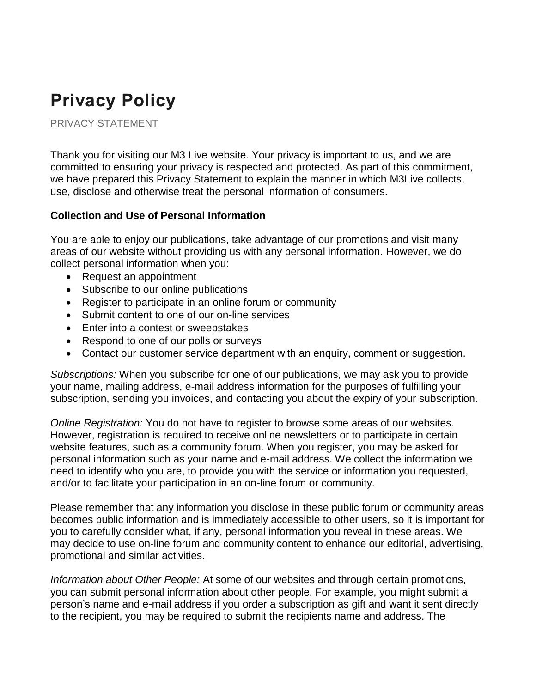# **Privacy Policy**

PRIVACY STATEMENT

Thank you for visiting our M3 Live website. Your privacy is important to us, and we are committed to ensuring your privacy is respected and protected. As part of this commitment, we have prepared this Privacy Statement to explain the manner in which M3Live collects, use, disclose and otherwise treat the personal information of consumers.

## **Collection and Use of Personal Information**

You are able to enjoy our publications, take advantage of our promotions and visit many areas of our website without providing us with any personal information. However, we do collect personal information when you:

- Request an appointment
- Subscribe to our online publications
- Register to participate in an online forum or community
- Submit content to one of our on-line services
- Enter into a contest or sweepstakes
- Respond to one of our polls or surveys
- Contact our customer service department with an enquiry, comment or suggestion.

*Subscriptions:* When you subscribe for one of our publications, we may ask you to provide your name, mailing address, e-mail address information for the purposes of fulfilling your subscription, sending you invoices, and contacting you about the expiry of your subscription.

*Online Registration:* You do not have to register to browse some areas of our websites. However, registration is required to receive online newsletters or to participate in certain website features, such as a community forum. When you register, you may be asked for personal information such as your name and e-mail address. We collect the information we need to identify who you are, to provide you with the service or information you requested, and/or to facilitate your participation in an on-line forum or community.

Please remember that any information you disclose in these public forum or community areas becomes public information and is immediately accessible to other users, so it is important for you to carefully consider what, if any, personal information you reveal in these areas. We may decide to use on-line forum and community content to enhance our editorial, advertising, promotional and similar activities.

*Information about Other People:* At some of our websites and through certain promotions, you can submit personal information about other people. For example, you might submit a person's name and e-mail address if you order a subscription as gift and want it sent directly to the recipient, you may be required to submit the recipients name and address. The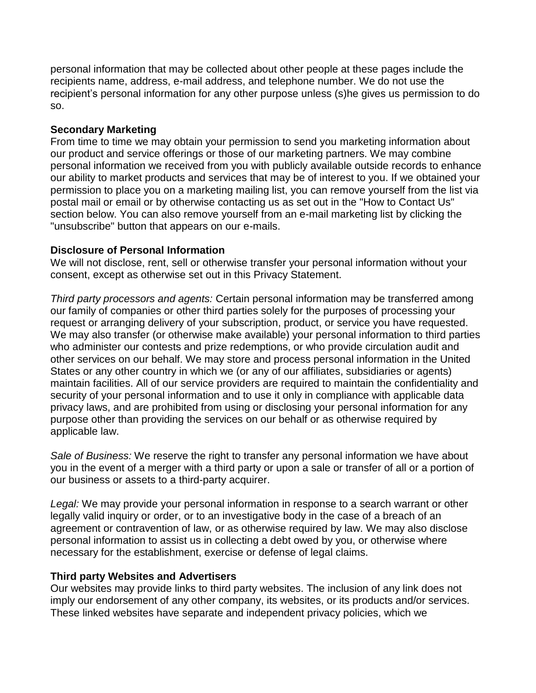personal information that may be collected about other people at these pages include the recipients name, address, e-mail address, and telephone number. We do not use the recipient's personal information for any other purpose unless (s)he gives us permission to do so.

## **Secondary Marketing**

From time to time we may obtain your permission to send you marketing information about our product and service offerings or those of our marketing partners. We may combine personal information we received from you with publicly available outside records to enhance our ability to market products and services that may be of interest to you. If we obtained your permission to place you on a marketing mailing list, you can remove yourself from the list via postal mail or email or by otherwise contacting us as set out in the "How to Contact Us" section below. You can also remove yourself from an e-mail marketing list by clicking the "unsubscribe" button that appears on our e-mails.

#### **Disclosure of Personal Information**

We will not disclose, rent, sell or otherwise transfer your personal information without your consent, except as otherwise set out in this Privacy Statement.

*Third party processors and agents:* Certain personal information may be transferred among our family of companies or other third parties solely for the purposes of processing your request or arranging delivery of your subscription, product, or service you have requested. We may also transfer (or otherwise make available) your personal information to third parties who administer our contests and prize redemptions, or who provide circulation audit and other services on our behalf. We may store and process personal information in the United States or any other country in which we (or any of our affiliates, subsidiaries or agents) maintain facilities. All of our service providers are required to maintain the confidentiality and security of your personal information and to use it only in compliance with applicable data privacy laws, and are prohibited from using or disclosing your personal information for any purpose other than providing the services on our behalf or as otherwise required by applicable law.

*Sale of Business:* We reserve the right to transfer any personal information we have about you in the event of a merger with a third party or upon a sale or transfer of all or a portion of our business or assets to a third-party acquirer.

*Legal:* We may provide your personal information in response to a search warrant or other legally valid inquiry or order, or to an investigative body in the case of a breach of an agreement or contravention of law, or as otherwise required by law. We may also disclose personal information to assist us in collecting a debt owed by you, or otherwise where necessary for the establishment, exercise or defense of legal claims.

#### **Third party Websites and Advertisers**

Our websites may provide links to third party websites. The inclusion of any link does not imply our endorsement of any other company, its websites, or its products and/or services. These linked websites have separate and independent privacy policies, which we